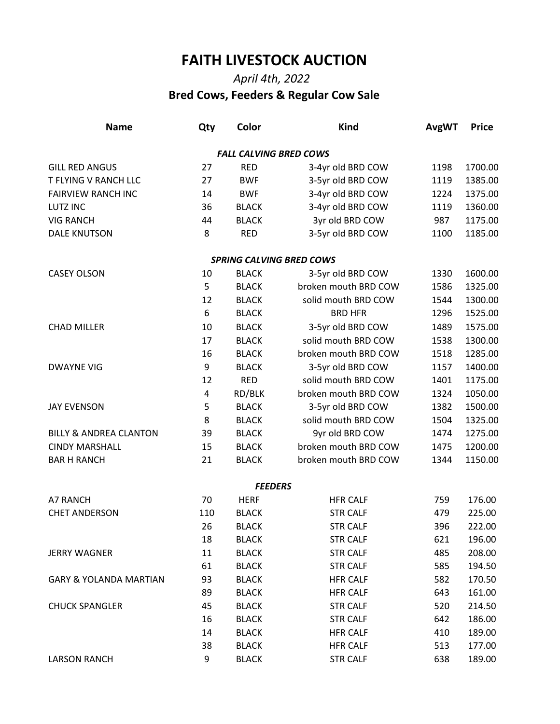## **FAITH LIVESTOCK AUCTION**

## *April 4th, 2022*  **Bred Cows, Feeders & Regular Cow Sale**

| <b>Name</b>                       | Qty | Color                         | <b>Kind</b>                     | <b>AvgWT</b> | <b>Price</b> |
|-----------------------------------|-----|-------------------------------|---------------------------------|--------------|--------------|
|                                   |     | <b>FALL CALVING BRED COWS</b> |                                 |              |              |
| <b>GILL RED ANGUS</b>             | 27  | <b>RED</b>                    | 3-4yr old BRD COW               | 1198         | 1700.00      |
| T FLYING V RANCH LLC              | 27  | <b>BWF</b>                    | 3-5yr old BRD COW               | 1119         | 1385.00      |
| <b>FAIRVIEW RANCH INC</b>         | 14  | <b>BWF</b>                    | 3-4yr old BRD COW               | 1224         | 1375.00      |
| <b>LUTZ INC</b>                   | 36  | <b>BLACK</b>                  | 3-4yr old BRD COW               | 1119         | 1360.00      |
| <b>VIG RANCH</b>                  | 44  | <b>BLACK</b>                  | 3yr old BRD COW                 | 987          | 1175.00      |
| <b>DALE KNUTSON</b>               | 8   | <b>RED</b>                    | 3-5yr old BRD COW               | 1100         | 1185.00      |
|                                   |     |                               | <b>SPRING CALVING BRED COWS</b> |              |              |
| <b>CASEY OLSON</b>                | 10  | <b>BLACK</b>                  | 3-5yr old BRD COW               | 1330         | 1600.00      |
|                                   | 5   | <b>BLACK</b>                  | broken mouth BRD COW            | 1586         | 1325.00      |
|                                   | 12  | <b>BLACK</b>                  | solid mouth BRD COW             | 1544         | 1300.00      |
|                                   | 6   | <b>BLACK</b>                  | <b>BRD HFR</b>                  | 1296         | 1525.00      |
| <b>CHAD MILLER</b>                | 10  | <b>BLACK</b>                  | 3-5yr old BRD COW               | 1489         | 1575.00      |
|                                   | 17  | <b>BLACK</b>                  | solid mouth BRD COW             | 1538         | 1300.00      |
|                                   | 16  | <b>BLACK</b>                  | broken mouth BRD COW            | 1518         | 1285.00      |
| <b>DWAYNE VIG</b>                 | 9   | <b>BLACK</b>                  | 3-5yr old BRD COW               | 1157         | 1400.00      |
|                                   | 12  | <b>RED</b>                    | solid mouth BRD COW             | 1401         | 1175.00      |
|                                   | 4   | RD/BLK                        | broken mouth BRD COW            | 1324         | 1050.00      |
| <b>JAY EVENSON</b>                | 5   | <b>BLACK</b>                  | 3-5yr old BRD COW               | 1382         | 1500.00      |
|                                   | 8   | <b>BLACK</b>                  | solid mouth BRD COW             | 1504         | 1325.00      |
| <b>BILLY &amp; ANDREA CLANTON</b> | 39  | <b>BLACK</b>                  | 9yr old BRD COW                 | 1474         | 1275.00      |
| <b>CINDY MARSHALL</b>             | 15  | <b>BLACK</b>                  | broken mouth BRD COW            | 1475         | 1200.00      |
| <b>BAR H RANCH</b>                | 21  | <b>BLACK</b>                  | broken mouth BRD COW            | 1344         | 1150.00      |
|                                   |     | <b>FEEDERS</b>                |                                 |              |              |
| A7 RANCH                          | 70  | <b>HERF</b>                   | <b>HFR CALF</b>                 | 759          | 176.00       |
| <b>CHET ANDERSON</b>              | 110 | <b>BLACK</b>                  | <b>STR CALF</b>                 | 479          | 225.00       |
|                                   | 26  | <b>BLACK</b>                  | <b>STR CALF</b>                 | 396          | 222.00       |
|                                   | 18  | <b>BLACK</b>                  | <b>STR CALF</b>                 | 621          | 196.00       |
| <b>JERRY WAGNER</b>               | 11  | <b>BLACK</b>                  | <b>STR CALF</b>                 | 485          | 208.00       |
|                                   | 61  | <b>BLACK</b>                  | <b>STR CALF</b>                 | 585          | 194.50       |
| <b>GARY &amp; YOLANDA MARTIAN</b> | 93  | <b>BLACK</b>                  | <b>HFR CALF</b>                 | 582          | 170.50       |
|                                   | 89  | <b>BLACK</b>                  | <b>HFR CALF</b>                 | 643          | 161.00       |
| <b>CHUCK SPANGLER</b>             | 45  | <b>BLACK</b>                  | <b>STR CALF</b>                 | 520          | 214.50       |
|                                   | 16  | <b>BLACK</b>                  | <b>STR CALF</b>                 | 642          | 186.00       |
|                                   | 14  | <b>BLACK</b>                  | <b>HFR CALF</b>                 | 410          | 189.00       |
|                                   | 38  | <b>BLACK</b>                  | <b>HFR CALF</b>                 | 513          | 177.00       |
| <b>LARSON RANCH</b>               | 9   | <b>BLACK</b>                  | <b>STR CALF</b>                 | 638          | 189.00       |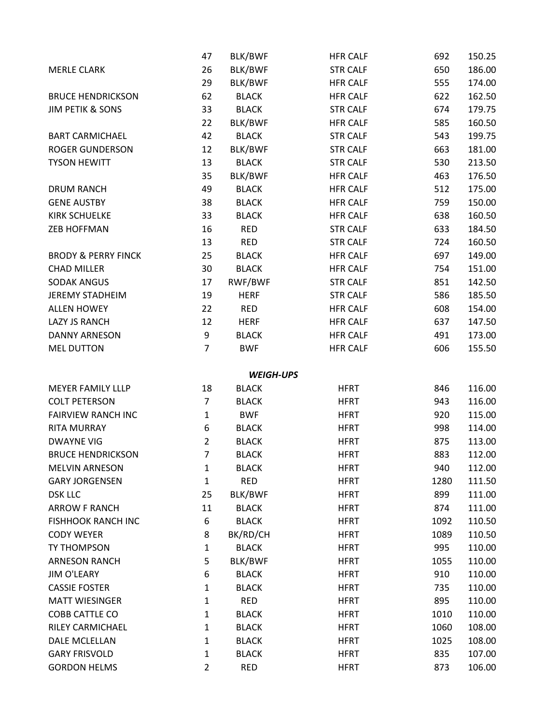|                                | 47             | BLK/BWF          | <b>HFR CALF</b> | 692  | 150.25 |
|--------------------------------|----------------|------------------|-----------------|------|--------|
| <b>MERLE CLARK</b>             | 26             | BLK/BWF          | <b>STR CALF</b> | 650  | 186.00 |
|                                | 29             | BLK/BWF          | <b>HFR CALF</b> | 555  | 174.00 |
| <b>BRUCE HENDRICKSON</b>       | 62             | <b>BLACK</b>     | <b>HFR CALF</b> | 622  | 162.50 |
| <b>JIM PETIK &amp; SONS</b>    | 33             | <b>BLACK</b>     | <b>STR CALF</b> | 674  | 179.75 |
|                                | 22             | BLK/BWF          | <b>HFR CALF</b> | 585  | 160.50 |
| <b>BART CARMICHAEL</b>         | 42             | <b>BLACK</b>     | <b>STR CALF</b> | 543  | 199.75 |
| <b>ROGER GUNDERSON</b>         | 12             | BLK/BWF          | <b>STR CALF</b> | 663  | 181.00 |
| <b>TYSON HEWITT</b>            | 13             | <b>BLACK</b>     | <b>STR CALF</b> | 530  | 213.50 |
|                                | 35             | BLK/BWF          | <b>HFR CALF</b> | 463  | 176.50 |
| <b>DRUM RANCH</b>              | 49             | <b>BLACK</b>     | <b>HFR CALF</b> | 512  | 175.00 |
| <b>GENE AUSTBY</b>             | 38             | <b>BLACK</b>     | <b>HFR CALF</b> | 759  | 150.00 |
| <b>KIRK SCHUELKE</b>           | 33             | <b>BLACK</b>     | <b>HFR CALF</b> | 638  | 160.50 |
| <b>ZEB HOFFMAN</b>             | 16             | <b>RED</b>       | <b>STR CALF</b> | 633  | 184.50 |
|                                | 13             | <b>RED</b>       | <b>STR CALF</b> | 724  | 160.50 |
| <b>BRODY &amp; PERRY FINCK</b> | 25             | <b>BLACK</b>     | <b>HFR CALF</b> | 697  | 149.00 |
| <b>CHAD MILLER</b>             | 30             | <b>BLACK</b>     | <b>HFR CALF</b> | 754  | 151.00 |
| <b>SODAK ANGUS</b>             | 17             | RWF/BWF          | <b>STR CALF</b> | 851  | 142.50 |
| <b>JEREMY STADHEIM</b>         | 19             | <b>HERF</b>      | <b>STR CALF</b> | 586  | 185.50 |
| <b>ALLEN HOWEY</b>             | 22             | <b>RED</b>       | <b>HFR CALF</b> | 608  | 154.00 |
| <b>LAZY JS RANCH</b>           | 12             | <b>HERF</b>      | <b>HFR CALF</b> | 637  | 147.50 |
| <b>DANNY ARNESON</b>           | 9              | <b>BLACK</b>     | <b>HFR CALF</b> | 491  | 173.00 |
| <b>MEL DUTTON</b>              | $\overline{7}$ | <b>BWF</b>       | <b>HFR CALF</b> | 606  | 155.50 |
|                                |                | <b>WEIGH-UPS</b> |                 |      |        |
| <b>MEYER FAMILY LLLP</b>       | 18             | <b>BLACK</b>     | <b>HFRT</b>     | 846  | 116.00 |
| <b>COLT PETERSON</b>           | $\overline{7}$ | <b>BLACK</b>     | <b>HFRT</b>     | 943  | 116.00 |
| <b>FAIRVIEW RANCH INC</b>      | $\mathbf{1}$   | <b>BWF</b>       | <b>HFRT</b>     | 920  | 115.00 |
| RITA MURRAY                    | 6              | <b>BLACK</b>     | <b>HFRT</b>     | 998  | 114.00 |
| <b>DWAYNE VIG</b>              | $\overline{2}$ | <b>BLACK</b>     | <b>HFRT</b>     | 875  | 113.00 |
| <b>BRUCE HENDRICKSON</b>       | $\overline{7}$ | <b>BLACK</b>     | <b>HFRT</b>     | 883  | 112.00 |
| <b>MELVIN ARNESON</b>          | 1              | <b>BLACK</b>     | <b>HFRT</b>     | 940  | 112.00 |
| <b>GARY JORGENSEN</b>          | $\mathbf{1}$   | <b>RED</b>       | <b>HFRT</b>     | 1280 | 111.50 |
| <b>DSK LLC</b>                 | 25             | BLK/BWF          | <b>HFRT</b>     | 899  | 111.00 |
| <b>ARROW F RANCH</b>           | 11             | <b>BLACK</b>     | <b>HFRT</b>     | 874  | 111.00 |
| <b>FISHHOOK RANCH INC</b>      | 6              | <b>BLACK</b>     | <b>HFRT</b>     | 1092 | 110.50 |
| <b>CODY WEYER</b>              | 8              | BK/RD/CH         | <b>HFRT</b>     | 1089 | 110.50 |
| TY THOMPSON                    | 1              | <b>BLACK</b>     | <b>HFRT</b>     | 995  | 110.00 |
| <b>ARNESON RANCH</b>           | 5              | BLK/BWF          | <b>HFRT</b>     | 1055 | 110.00 |
| <b>JIM O'LEARY</b>             | 6              | <b>BLACK</b>     | <b>HFRT</b>     | 910  | 110.00 |
| <b>CASSIE FOSTER</b>           | 1              | <b>BLACK</b>     | <b>HFRT</b>     | 735  | 110.00 |
| <b>MATT WIESINGER</b>          | 1              | <b>RED</b>       | <b>HFRT</b>     | 895  | 110.00 |
| COBB CATTLE CO                 | 1              | <b>BLACK</b>     | <b>HFRT</b>     | 1010 | 110.00 |
| RILEY CARMICHAEL               | $\mathbf{1}$   | <b>BLACK</b>     | <b>HFRT</b>     | 1060 | 108.00 |
| DALE MCLELLAN                  | $\mathbf{1}$   | <b>BLACK</b>     | <b>HFRT</b>     | 1025 | 108.00 |
| <b>GARY FRISVOLD</b>           | 1              | <b>BLACK</b>     | <b>HFRT</b>     | 835  | 107.00 |
| <b>GORDON HELMS</b>            | $\overline{2}$ | <b>RED</b>       | <b>HFRT</b>     | 873  | 106.00 |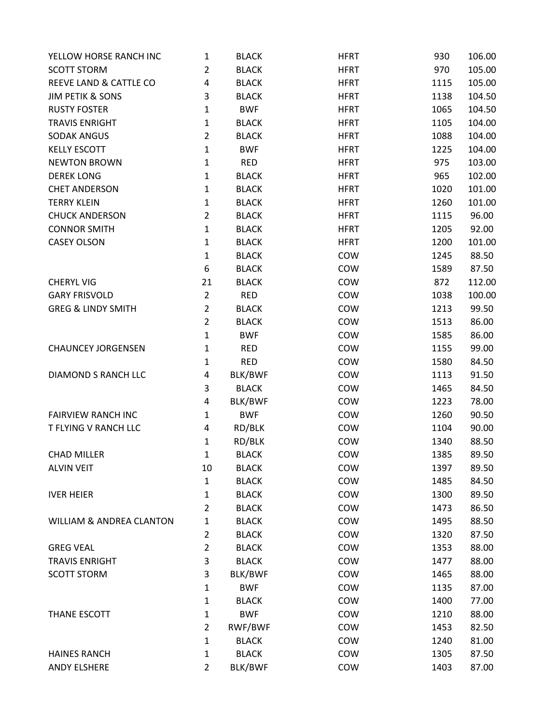| YELLOW HORSE RANCH INC              | 1              | <b>BLACK</b> | <b>HFRT</b> | 930  | 106.00 |
|-------------------------------------|----------------|--------------|-------------|------|--------|
| <b>SCOTT STORM</b>                  | 2              | <b>BLACK</b> | <b>HFRT</b> | 970  | 105.00 |
| REEVE LAND & CATTLE CO              | 4              | <b>BLACK</b> | <b>HFRT</b> | 1115 | 105.00 |
| <b>JIM PETIK &amp; SONS</b>         | 3              | <b>BLACK</b> | <b>HFRT</b> | 1138 | 104.50 |
| <b>RUSTY FOSTER</b>                 | $\mathbf{1}$   | <b>BWF</b>   | <b>HFRT</b> | 1065 | 104.50 |
| <b>TRAVIS ENRIGHT</b>               | 1              | <b>BLACK</b> | <b>HFRT</b> | 1105 | 104.00 |
| <b>SODAK ANGUS</b>                  | $\overline{2}$ | <b>BLACK</b> | <b>HFRT</b> | 1088 | 104.00 |
| <b>KELLY ESCOTT</b>                 | $\mathbf{1}$   | <b>BWF</b>   | <b>HFRT</b> | 1225 | 104.00 |
| <b>NEWTON BROWN</b>                 | 1              | <b>RED</b>   | <b>HFRT</b> | 975  | 103.00 |
| <b>DEREK LONG</b>                   | $\mathbf{1}$   | <b>BLACK</b> | <b>HFRT</b> | 965  | 102.00 |
| <b>CHET ANDERSON</b>                | 1              | <b>BLACK</b> | <b>HFRT</b> | 1020 | 101.00 |
| <b>TERRY KLEIN</b>                  | $\mathbf{1}$   | <b>BLACK</b> | <b>HFRT</b> | 1260 | 101.00 |
| <b>CHUCK ANDERSON</b>               | $\overline{2}$ | <b>BLACK</b> | <b>HFRT</b> | 1115 | 96.00  |
| <b>CONNOR SMITH</b>                 | 1              | <b>BLACK</b> | <b>HFRT</b> | 1205 | 92.00  |
| <b>CASEY OLSON</b>                  | 1              | <b>BLACK</b> | <b>HFRT</b> | 1200 | 101.00 |
|                                     | 1              | <b>BLACK</b> | COW         | 1245 | 88.50  |
|                                     | 6              | <b>BLACK</b> | COW         | 1589 | 87.50  |
| <b>CHERYL VIG</b>                   | 21             | <b>BLACK</b> | COW         | 872  | 112.00 |
| <b>GARY FRISVOLD</b>                | $\overline{2}$ | <b>RED</b>   | COW         | 1038 | 100.00 |
| <b>GREG &amp; LINDY SMITH</b>       | $\overline{2}$ | <b>BLACK</b> | COW         | 1213 | 99.50  |
|                                     | $\overline{2}$ | <b>BLACK</b> | COW         | 1513 | 86.00  |
|                                     | $\mathbf{1}$   | <b>BWF</b>   | COW         | 1585 | 86.00  |
| <b>CHAUNCEY JORGENSEN</b>           | 1              | <b>RED</b>   | COW         | 1155 | 99.00  |
|                                     | 1              | <b>RED</b>   | COW         | 1580 | 84.50  |
| DIAMOND S RANCH LLC                 | 4              | BLK/BWF      | COW         | 1113 | 91.50  |
|                                     | 3              | <b>BLACK</b> | COW         | 1465 | 84.50  |
|                                     | 4              | BLK/BWF      | COW         | 1223 | 78.00  |
| <b>FAIRVIEW RANCH INC</b>           | 1              | <b>BWF</b>   | COW         | 1260 | 90.50  |
| T FLYING V RANCH LLC                | 4              | RD/BLK       | COW         | 1104 | 90.00  |
|                                     | 1              | RD/BLK       | COW         | 1340 | 88.50  |
| <b>CHAD MILLER</b>                  | 1              | <b>BLACK</b> | COW         | 1385 | 89.50  |
| <b>ALVIN VEIT</b>                   | 10             | <b>BLACK</b> | COW         | 1397 | 89.50  |
|                                     | 1              | <b>BLACK</b> | COW         | 1485 | 84.50  |
| <b>IVER HEIER</b>                   | 1              | <b>BLACK</b> | COW         | 1300 | 89.50  |
|                                     | $\overline{2}$ | <b>BLACK</b> | COW         | 1473 | 86.50  |
| <b>WILLIAM &amp; ANDREA CLANTON</b> | 1              | <b>BLACK</b> | COW         | 1495 | 88.50  |
|                                     | $\overline{2}$ | <b>BLACK</b> | COW         | 1320 | 87.50  |
| <b>GREG VEAL</b>                    | 2              | <b>BLACK</b> | COW         | 1353 | 88.00  |
| <b>TRAVIS ENRIGHT</b>               | 3              | <b>BLACK</b> | COW         | 1477 | 88.00  |
| <b>SCOTT STORM</b>                  | 3              | BLK/BWF      | COW         | 1465 | 88.00  |
|                                     | $\mathbf{1}$   | <b>BWF</b>   | COW         | 1135 | 87.00  |
|                                     | 1              | <b>BLACK</b> | COW         | 1400 | 77.00  |
| THANE ESCOTT                        | $\mathbf{1}$   | <b>BWF</b>   | COW         | 1210 | 88.00  |
|                                     | $\overline{2}$ | RWF/BWF      | COW         | 1453 | 82.50  |
|                                     | $\mathbf{1}$   | <b>BLACK</b> | COW         | 1240 | 81.00  |
| <b>HAINES RANCH</b>                 | 1              | <b>BLACK</b> | COW         | 1305 | 87.50  |
| <b>ANDY ELSHERE</b>                 | $\overline{2}$ | BLK/BWF      | COW         | 1403 | 87.00  |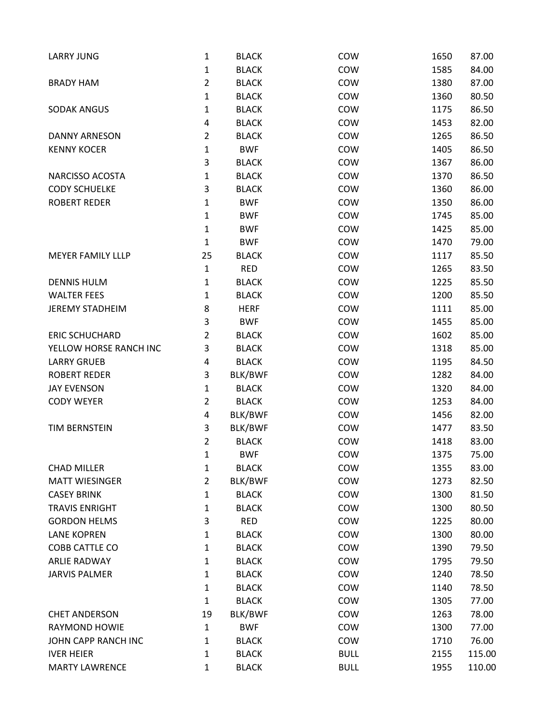| <b>LARRY JUNG</b>        | 1              | <b>BLACK</b> | COW         | 1650 | 87.00  |
|--------------------------|----------------|--------------|-------------|------|--------|
|                          | $\mathbf{1}$   | <b>BLACK</b> | COW         | 1585 | 84.00  |
| <b>BRADY HAM</b>         | $\overline{2}$ | <b>BLACK</b> | COW         | 1380 | 87.00  |
|                          | 1              | <b>BLACK</b> | COW         | 1360 | 80.50  |
| <b>SODAK ANGUS</b>       | 1              | <b>BLACK</b> | COW         | 1175 | 86.50  |
|                          | 4              | <b>BLACK</b> | COW         | 1453 | 82.00  |
| <b>DANNY ARNESON</b>     | $\overline{2}$ | <b>BLACK</b> | COW         | 1265 | 86.50  |
| <b>KENNY KOCER</b>       | 1              | <b>BWF</b>   | COW         | 1405 | 86.50  |
|                          | 3              | <b>BLACK</b> | COW         | 1367 | 86.00  |
| NARCISSO ACOSTA          | 1              | <b>BLACK</b> | COW         | 1370 | 86.50  |
| <b>CODY SCHUELKE</b>     | 3              | <b>BLACK</b> | COW         | 1360 | 86.00  |
| <b>ROBERT REDER</b>      | 1              | <b>BWF</b>   | COW         | 1350 | 86.00  |
|                          | 1              | <b>BWF</b>   | COW         | 1745 | 85.00  |
|                          | 1              | <b>BWF</b>   | COW         | 1425 | 85.00  |
|                          | $\mathbf{1}$   | <b>BWF</b>   | COW         | 1470 | 79.00  |
| <b>MEYER FAMILY LLLP</b> | 25             | <b>BLACK</b> | COW         | 1117 | 85.50  |
|                          | $\mathbf{1}$   | <b>RED</b>   | COW         | 1265 | 83.50  |
| <b>DENNIS HULM</b>       | 1              | <b>BLACK</b> | COW         | 1225 | 85.50  |
| <b>WALTER FEES</b>       | 1              | <b>BLACK</b> | COW         | 1200 | 85.50  |
| <b>JEREMY STADHEIM</b>   | 8              | <b>HERF</b>  | COW         | 1111 | 85.00  |
|                          | 3              | <b>BWF</b>   | COW         | 1455 | 85.00  |
| <b>ERIC SCHUCHARD</b>    | $\overline{2}$ | <b>BLACK</b> | COW         | 1602 | 85.00  |
| YELLOW HORSE RANCH INC   | 3              | <b>BLACK</b> | COW         | 1318 | 85.00  |
| <b>LARRY GRUEB</b>       | 4              | <b>BLACK</b> | COW         | 1195 | 84.50  |
| <b>ROBERT REDER</b>      | 3              | BLK/BWF      | COW         | 1282 | 84.00  |
| <b>JAY EVENSON</b>       | 1              | <b>BLACK</b> | COW         | 1320 | 84.00  |
| <b>CODY WEYER</b>        | $\overline{2}$ | <b>BLACK</b> | COW         | 1253 | 84.00  |
|                          | 4              | BLK/BWF      | COW         | 1456 | 82.00  |
| TIM BERNSTEIN            | 3              | BLK/BWF      | COW         | 1477 | 83.50  |
|                          | $\overline{2}$ | <b>BLACK</b> | COW         | 1418 | 83.00  |
|                          | 1              | <b>BWF</b>   | COW         | 1375 | 75.00  |
| <b>CHAD MILLER</b>       | 1              | <b>BLACK</b> | COW         | 1355 | 83.00  |
| <b>MATT WIESINGER</b>    | $\overline{2}$ | BLK/BWF      | COW         | 1273 | 82.50  |
| <b>CASEY BRINK</b>       | $\mathbf{1}$   | <b>BLACK</b> | COW         | 1300 | 81.50  |
| <b>TRAVIS ENRIGHT</b>    | 1              | <b>BLACK</b> | COW         | 1300 | 80.50  |
| <b>GORDON HELMS</b>      | 3              | <b>RED</b>   | COW         | 1225 | 80.00  |
| <b>LANE KOPREN</b>       | 1              | <b>BLACK</b> | COW         | 1300 | 80.00  |
| COBB CATTLE CO           | 1              | <b>BLACK</b> | COW         | 1390 | 79.50  |
| <b>ARLIE RADWAY</b>      | 1              | <b>BLACK</b> | COW         | 1795 | 79.50  |
| <b>JARVIS PALMER</b>     | 1              | <b>BLACK</b> | COW         | 1240 | 78.50  |
|                          | 1              | <b>BLACK</b> | COW         | 1140 | 78.50  |
|                          | 1              | <b>BLACK</b> | COW         | 1305 | 77.00  |
| <b>CHET ANDERSON</b>     | 19             | BLK/BWF      | COW         | 1263 | 78.00  |
| <b>RAYMOND HOWIE</b>     | $\mathbf{1}$   | <b>BWF</b>   | COW         | 1300 | 77.00  |
| JOHN CAPP RANCH INC      | 1              | <b>BLACK</b> | COW         | 1710 | 76.00  |
| <b>IVER HEIER</b>        | 1              | <b>BLACK</b> | <b>BULL</b> | 2155 | 115.00 |
| <b>MARTY LAWRENCE</b>    | $\mathbf{1}$   | <b>BLACK</b> | <b>BULL</b> | 1955 | 110.00 |